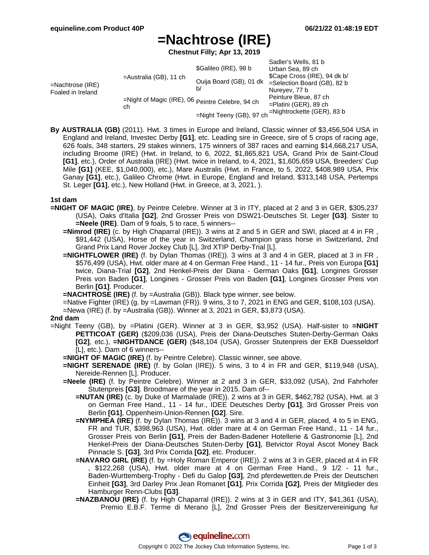# **=Nachtrose (IRE)**

**Chestnut Filly; Apr 13, 2019**

|                                          |                                                        | \$Galileo (IRE), 98 b         | Sadler's Wells, 81 b<br>Urban Sea, 89 ch                                        |
|------------------------------------------|--------------------------------------------------------|-------------------------------|---------------------------------------------------------------------------------|
| $=$ Nachtrose (IRE)<br>Foaled in Ireland | =Australia (GB), 11 ch                                 | Ouija Board (GB), 01 dk<br>b/ | \$Cape Cross (IRE), 94 dk b/<br>$=$ Selection Board (GB), 82 b<br>Nureyev, 77 b |
|                                          | =Night of Magic (IRE), 06 Peintre Celebre, 94 ch<br>ch |                               | Peinture Bleue, 87 ch<br>$=$ Platini (GER), 89 ch                               |
|                                          |                                                        | =Night Teeny (GB), 97 ch      | $=$ Nightrockette (GER), 83 b                                                   |

**By AUSTRALIA (GB)** (2011). Hwt. 3 times in Europe and Ireland, Classic winner of \$3,456,504 USA in England and Ireland, Investec Derby **[G1]**, etc. Leading sire in Greece, sire of 5 crops of racing age, 626 foals, 348 starters, 29 stakes winners, 175 winners of 387 races and earning \$14,668,217 USA, including Broome (IRE) (Hwt. in Ireland, to 6, 2022, \$1,865,821 USA, Grand Prix de Saint-Cloud **[G1]**, etc.), Order of Australia (IRE) (Hwt. twice in Ireland, to 4, 2021, \$1,605,659 USA, Breeders' Cup Mile **[G1]** (KEE, \$1,040,000), etc.), Mare Australis (Hwt. in France, to 5, 2022, \$408,989 USA, Prix Ganay **[G1]**, etc.), Galileo Chrome (Hwt. in Europe, England and Ireland, \$313,148 USA, Pertemps St. Leger **[G1]**, etc.), New Holland (Hwt. in Greece, at 3, 2021, ).

#### **1st dam**

- **=NIGHT OF MAGIC (IRE)**, by Peintre Celebre. Winner at 3 in ITY, placed at 2 and 3 in GER, \$305,237 (USA), Oaks d'Italia **[G2]**, 2nd Grosser Preis von DSW21-Deutsches St. Leger **[G3]**. Sister to **=Neele (IRE)**. Dam of 9 foals, 5 to race, 5 winners--
	- **=Nimrod (IRE)** (c. by High Chaparral (IRE)). 3 wins at 2 and 5 in GER and SWI, placed at 4 in FR, \$91,442 (USA), Horse of the year in Switzerland, Champion grass horse in Switzerland, 2nd Grand Prix Land Rover Jockey Club [L], 3rd XTIP Derby-Trial [L].
	- **=NIGHTFLOWER (IRE)** (f. by Dylan Thomas (IRE)). 3 wins at 3 and 4 in GER, placed at 3 in FR , \$576,499 (USA), Hwt. older mare at 4 on German Free Hand., 11 - 14 fur., Preis von Europa **[G1]** twice, Diana-Trial **[G2]**, 2nd Henkel-Preis der Diana - German Oaks **[G1]**, Longines Grosser Preis von Baden **[G1]**, Longines - Grosser Preis von Baden **[G1]**, Longines Grosser Preis von Berlin **[G1]**. Producer.
	- **=NACHTROSE (IRE)** (f. by =Australia (GB)). Black type winner, see below.
	- =Native Fighter (IRE) (g. by =Lawman (FR)). 9 wins, 3 to 7, 2021 in ENG and GER, \$108,103 (USA).

=Newa (IRE) (f. by =Australia (GB)). Winner at 3, 2021 in GER, \$3,873 (USA).

### **2nd dam**

- =Night Teeny (GB), by =Platini (GER). Winner at 3 in GER, \$3,952 (USA). Half-sister to **=NIGHT PETTICOAT (GER)** (\$209,036 (USA), Preis der Diana-Deutsches Stuten-Derby-German Oaks **[G2]**, etc.), **=NIGHTDANCE (GER)** (\$48,104 (USA), Grosser Stutenpreis der EKB Duesseldorf [L], etc.). Dam of 6 winners--
	- **=NIGHT OF MAGIC (IRE)** (f. by Peintre Celebre). Classic winner, see above.
	- **=NIGHT SERENADE (IRE)** (f. by Golan (IRE)). 5 wins, 3 to 4 in FR and GER, \$119,948 (USA), Nereide-Rennen [L]. Producer.
	- **=Neele (IRE)** (f. by Peintre Celebre). Winner at 2 and 3 in GER, \$33,092 (USA), 2nd Fahrhofer Stutenpreis **[G3]**. Broodmare of the year in 2015. Dam of--
		- **=NUTAN (IRE)** (c. by Duke of Marmalade (IRE)). 2 wins at 3 in GER, \$462,782 (USA), Hwt. at 3 on German Free Hand., 11 - 14 fur., IDEE Deutsches Derby **[G1]**, 3rd Grosser Preis von Berlin **[G1]**, Oppenheim-Union-Rennen **[G2]**. Sire.
		- **=NYMPHEA (IRE)** (f. by Dylan Thomas (IRE)). 3 wins at 3 and 4 in GER, placed, 4 to 5 in ENG, FR and TUR, \$398,963 (USA), Hwt. older mare at 4 on German Free Hand., 11 - 14 fur., Grosser Preis von Berlin **[G1]**, Preis der Baden-Badener Hotellerie & Gastronomie [L], 2nd Henkel-Preis der Diana-Deutsches Stuten-Derby **[G1]**, Betvictor Royal Ascot Money Back Pinnacle S. **[G3]**, 3rd Prix Corrida **[G2]**, etc. Producer.
		- **=NAVARO GIRL (IRE)** (f. by =Holy Roman Emperor (IRE)). 2 wins at 3 in GER, placed at 4 in FR , \$122,268 (USA), Hwt. older mare at 4 on German Free Hand., 9 1/2 - 11 fur., Baden-Wurttemberg-Trophy - Defi du Galop **[G3]**, 2nd pferdewetten.de Preis der Deutschen Einheit **[G3]**, 3rd Darley Prix Jean Romanet **[G1]**, Prix Corrida **[G2]**, Preis der Mitglieder des Hamburger Renn-Clubs **[G3]**.
		- **=NAZBANOU (IRE)** (f. by High Chaparral (IRE)). 2 wins at 3 in GER and ITY, \$41,361 (USA), Premio E.B.F. Terme di Merano [L], 2nd Grosser Preis der Besitzervereinigung fur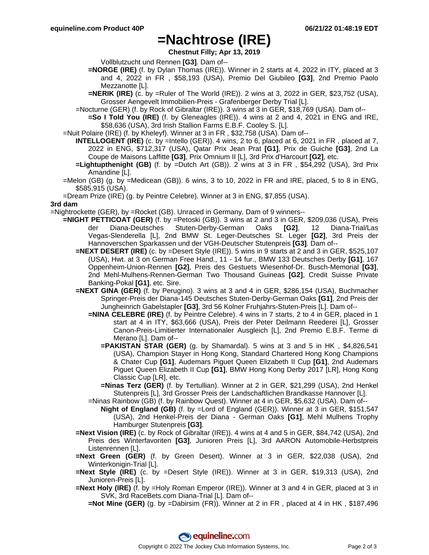### **=Nachtrose (IRE)**

**Chestnut Filly; Apr 13, 2019**

Vollblutzucht und Rennen **[G3]**. Dam of--

- **=NORGE (IRE)** (f. by Dylan Thomas (IRE)). Winner in 2 starts at 4, 2022 in ITY, placed at 3 and 4, 2022 in FR , \$58,193 (USA), Premio Del Giubileo **[G3]**, 2nd Premio Paolo Mezzanotte [L].
- **=NERIK (IRE)** (c. by =Ruler of The World (IRE)). 2 wins at 3, 2022 in GER, \$23,752 (USA), Grosser Aengevelt Immobilien-Preis - Grafenberger Derby Trial [L].
- =Nocturne (GER) (f. by Rock of Gibraltar (IRE)). 3 wins at 3 in GER, \$18,769 (USA). Dam of--
	- **=So I Told You (IRE)** (f. by Gleneagles (IRE)). 4 wins at 2 and 4, 2021 in ENG and IRE, \$58,636 (USA), 3rd Irish Stallion Farms E.B.F. Cooley S. [L].
- =Nuit Polaire (IRE) (f. by Kheleyf). Winner at 3 in FR , \$32,758 (USA). Dam of--
	- **INTELLOGENT (IRE)** (c. by =Intello (GER)). 4 wins, 2 to 6, placed at 6, 2021 in FR , placed at 7, 2022 in ENG, \$712,317 (USA), Qatar Prix Jean Prat **[G1]**, Prix de Guiche **[G3]**, 2nd La Coupe de Maisons Laffitte **[G3]**, Prix Omnium II [L], 3rd Prix d'Harcourt **[G2]**, etc.
	- **=Lightupthenight (GB)** (f. by =Dutch Art (GB)). 2 wins at 3 in FR , \$54,292 (USA), 3rd Prix Amandine [L].
- =Melon (GB) (g. by =Medicean (GB)). 6 wins, 3 to 10, 2022 in FR and IRE, placed, 5 to 8 in ENG, \$585,915 (USA).
- =Dream Prize (IRE) (g. by Peintre Celebre). Winner at 3 in ENG, \$7,855 (USA).

#### **3rd dam**

=Nightrockette (GER), by =Rocket (GB). Unraced in Germany. Dam of 9 winners--

- **=NIGHT PETTICOAT (GER)** (f. by =Petoski (GB)). 3 wins at 2 and 3 in GER, \$209,036 (USA), Preis der Diana-Deutsches Stuten-Derby-German Oaks **[G2]**, 12 Diana-Trial/Las Vegas-Slenderella [L], 2nd BMW St. Leger-Deutsches St. Leger **[G2]**, 3rd Preis der Hannoverschen Sparkassen und der VGH-Deutscher Stutenpreis **[G3]**. Dam of--
	- **=NEXT DESERT (IRE)** (c. by =Desert Style (IRE)). 5 wins in 9 starts at 2 and 3 in GER, \$525,107 (USA), Hwt. at 3 on German Free Hand., 11 - 14 fur., BMW 133 Deutsches Derby **[G1]**, 167 Oppenheim-Union-Rennen **[G2]**, Preis des Gestuets Wiesenhof-Dr. Busch-Memorial **[G3]**, 2nd Mehl-Mulhens-Rennen-German Two Thousand Guineas **[G2]**, Credit Suisse Private Banking-Pokal **[G1]**, etc. Sire.
	- **=NEXT GINA (GER)** (f. by Perugino). 3 wins at 3 and 4 in GER, \$286,154 (USA), Buchmacher Springer-Preis der Diana-145 Deutsches Stuten-Derby-German Oaks **[G1]**, 2nd Preis der Jungheinrich Gabelstapler **[G3]**, 3rd 56 Kolner Fruhjahrs-Stuten-Preis [L]. Dam of--
		- **=NINA CELEBRE (IRE)** (f. by Peintre Celebre). 4 wins in 7 starts, 2 to 4 in GER, placed in 1 start at 4 in ITY, \$63,666 (USA), Preis der Peter Deilmann Reederei [L], Grosser Canon-Preis-Limitierter Internationaler Ausgleich [L], 2nd Premio E.B.F. Terme di Merano [L]. Dam of--
			- **=PAKISTAN STAR (GER)** (g. by Shamardal). 5 wins at 3 and 5 in HK, \$4,826,541 (USA), Champion Stayer in Hong Kong, Standard Chartered Hong Kong Champions & Chater Cup **[G1]**, Audemars Piguet Queen Elizabeth II Cup **[G1]**, 2nd Audemars Piguet Queen Elizabeth II Cup **[G1]**, BMW Hong Kong Derby 2017 [LR], Hong Kong Classic Cup [LR], etc.
			- **=Ninas Terz (GER)** (f. by Tertullian). Winner at 2 in GER, \$21,299 (USA), 2nd Henkel Stutenpreis [L], 3rd Grosser Preis der Landschaftlichen Brandkasse Hannover [L].

=Ninas Rainbow (GB) (f. by Rainbow Quest). Winner at 4 in GER, \$5,632 (USA). Dam of--

- **Night of England (GB)** (f. by =Lord of England (GER)). Winner at 3 in GER, \$151,547 (USA), 2nd Henkel-Preis der Diana - German Oaks **[G1]**, Mehl Mulhens Trophy Hamburger Stutenpreis **[G3]**.
- **=Next Vision (IRE)** (c. by Rock of Gibraltar (IRE)). 4 wins at 4 and 5 in GER, \$84,742 (USA), 2nd Preis des Winterfavoriten **[G3]**, Junioren Preis [L], 3rd AARON Automobile-Herbstpreis Listenrennen [L].
- **=Next Green (GER)** (f. by Green Desert). Winner at 3 in GER, \$22,038 (USA), 2nd Winterkonigin-Trial [L].
- **=Next Style (IRE)** (c. by =Desert Style (IRE)). Winner at 3 in GER, \$19,313 (USA), 2nd Junioren-Preis [L].
- **=Next Holy (IRE)** (f. by =Holy Roman Emperor (IRE)). Winner at 3 and 4 in GER, placed at 3 in SVK, 3rd RaceBets.com Diana-Trial [L]. Dam of--
	- **=Not Mine (GER)** (g. by =Dabirsim (FR)). Winner at 2 in FR , placed at 4 in HK , \$187,496